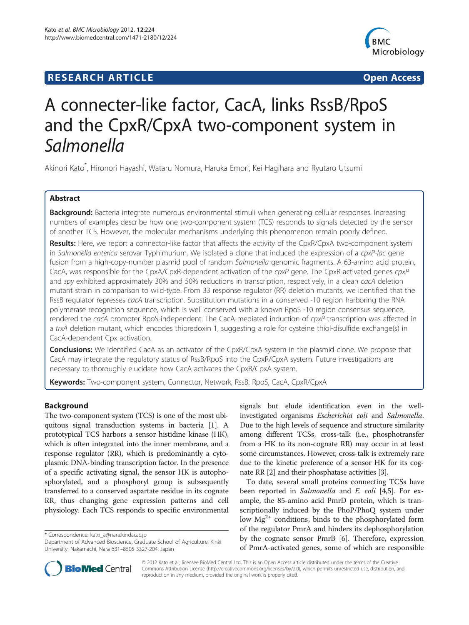# **RESEARCH ARTICLE Example 2014 CONSIDERING A RESEARCH ARTICLE**



# A connecter-like factor, CacA, links RssB/RpoS and the CpxR/CpxA two-component system in Salmonella

Akinori Kato\* , Hironori Hayashi, Wataru Nomura, Haruka Emori, Kei Hagihara and Ryutaro Utsumi

# Abstract

Background: Bacteria integrate numerous environmental stimuli when generating cellular responses. Increasing numbers of examples describe how one two-component system (TCS) responds to signals detected by the sensor of another TCS. However, the molecular mechanisms underlying this phenomenon remain poorly defined.

Results: Here, we report a connector-like factor that affects the activity of the CpxR/CpxA two-component system in Salmonella enterica serovar Typhimurium. We isolated a clone that induced the expression of a cpxP-lac gene fusion from a high-copy-number plasmid pool of random Salmonella genomic fragments. A 63-amino acid protein, CacA, was responsible for the CpxA/CpxR-dependent activation of the cpxP gene. The CpxR-activated genes cpxP and spy exhibited approximately 30% and 50% reductions in transcription, respectively, in a clean cacA deletion mutant strain in comparison to wild-type. From 33 response regulator (RR) deletion mutants, we identified that the RssB regulator represses *cacA* transcription. Substitution mutations in a conserved -10 region harboring the RNA polymerase recognition sequence, which is well conserved with a known RpoS -10 region consensus sequence, rendered the cacA promoter RpoS-independent. The CacA-mediated induction of cpxP transcription was affected in a trxA deletion mutant, which encodes thioredoxin 1, suggesting a role for cysteine thiol-disulfide exchange(s) in CacA-dependent Cpx activation.

**Conclusions:** We identified CacA as an activator of the CpxR/CpxA system in the plasmid clone. We propose that CacA may integrate the regulatory status of RssB/RpoS into the CpxR/CpxA system. Future investigations are necessary to thoroughly elucidate how CacA activates the CpxR/CpxA system.

Keywords: Two-component system, Connector, Network, RssB, RpoS, CacA, CpxR/CpxA

# Background

The two-component system (TCS) is one of the most ubiquitous signal transduction systems in bacteria [[1\]](#page-10-0). A prototypical TCS harbors a sensor histidine kinase (HK), which is often integrated into the inner membrane, and a response regulator (RR), which is predominantly a cytoplasmic DNA-binding transcription factor. In the presence of a specific activating signal, the sensor HK is autophosphorylated, and a phosphoryl group is subsequently transferred to a conserved aspartate residue in its cognate RR, thus changing gene expression patterns and cell physiology. Each TCS responds to specific environmental

\* Correspondence: [kato\\_a@nara.kindai.ac.jp](mailto:kato_a@nara.kindai.ac.jp)

signals but elude identification even in the wellinvestigated organisms Escherichia coli and Salmonella. Due to the high levels of sequence and structure similarity among different TCSs, cross-talk (i.e., phosphotransfer from a HK to its non-cognate RR) may occur in at least some circumstances. However, cross-talk is extremely rare due to the kinetic preference of a sensor HK for its cognate RR [\[2\]](#page-10-0) and their phosphatase activities [\[3](#page-10-0)].

To date, several small proteins connecting TCSs have been reported in Salmonella and E. coli [\[4,5](#page-10-0)]. For example, the 85-amino acid PmrD protein, which is transcriptionally induced by the PhoP/PhoQ system under low  $Mg^{2+}$  conditions, binds to the phosphorylated form of the regulator PmrA and hinders its dephosphorylation by the cognate sensor PmrB [[6\]](#page-10-0). Therefore, expression of PmrA-activated genes, some of which are responsible



© 2012 Kato et al.; licensee BioMed Central Ltd. This is an Open Access article distributed under the terms of the Creative Commons Attribution License [\(http://creativecommons.org/licenses/by/2.0\)](http://creativecommons.org/licenses/by/2.0), which permits unrestricted use, distribution, and reproduction in any medium, provided the original work is properly cited.

Department of Advanced Bioscience, Graduate School of Agriculture, Kinki University, Nakamachi, Nara 631–8505 3327-204, Japan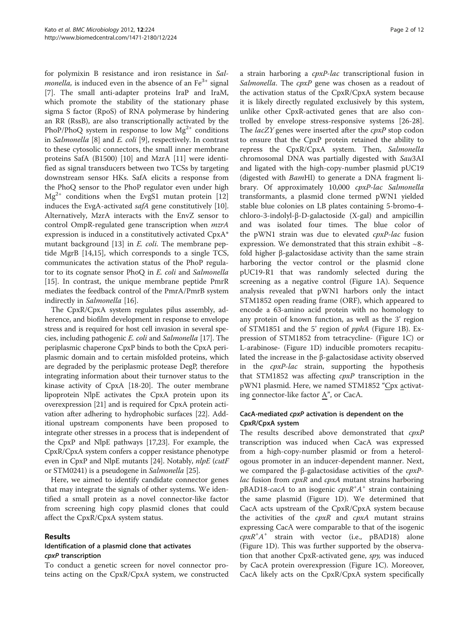for polymixin B resistance and iron resistance in Sal*monella*, is induced even in the absence of an  $Fe<sup>3+</sup>$  signal [[7\]](#page-10-0). The small anti-adapter proteins IraP and IraM, which promote the stability of the stationary phase sigma S factor (RpoS) of RNA polymerase by hindering an RR (RssB), are also transcriptionally activated by the PhoP/PhoQ system in response to low  $Mg^{2+}$  conditions in Salmonella [\[8](#page-10-0)] and E. coli [[9](#page-10-0)], respectively. In contrast to these cytosolic connectors, the small inner membrane proteins SafA (B1500) [\[10\]](#page-10-0) and MzrA [\[11](#page-10-0)] were identified as signal transducers between two TCSs by targeting downstream sensor HKs. SafA elicits a response from the PhoQ sensor to the PhoP regulator even under high  $Mg^{2+}$  conditions when the EvgS1 mutan protein [[12](#page-10-0)] induces the EvgA-activated safA gene constitutively [\[10](#page-10-0)]. Alternatively, MzrA interacts with the EnvZ sensor to control OmpR-regulated gene transcription when *mzrA* expression is induced in a constitutively activated CpxA\* mutant background [\[13\]](#page-10-0) in *E. coli*. The membrane peptide MgrB [\[14,15\]](#page-10-0), which corresponds to a single TCS, communicates the activation status of the PhoP regulator to its cognate sensor PhoQ in E. coli and Salmonella [[15\]](#page-10-0). In contrast, the unique membrane peptide PmrR mediates the feedback control of the PmrA/PmrB system indirectly in Salmonella [[16](#page-10-0)].

The CpxR/CpxA system regulates pilus assembly, adherence, and biofilm development in response to envelope stress and is required for host cell invasion in several species, including pathogenic E. coli and Salmonella [\[17\]](#page-10-0). The periplasmic chaperone CpxP binds to both the CpxA periplasmic domain and to certain misfolded proteins, which are degraded by the periplasmic protease DegP, therefore integrating information about their turnover status to the kinase activity of CpxA [\[18-20\]](#page-10-0). The outer membrane lipoprotein NlpE activates the CpxA protein upon its overexpression [\[21\]](#page-10-0) and is required for CpxA protein activation after adhering to hydrophobic surfaces [\[22\]](#page-10-0). Additional upstream components have been proposed to integrate other stresses in a process that is independent of the CpxP and NlpE pathways [[17,23](#page-10-0)]. For example, the CpxR/CpxA system confers a copper resistance phenotype even in CpxP and NlpE mutants [\[24\]](#page-10-0). Notably, nlpE (cutF) or STM0241) is a pseudogene in Salmonella [\[25](#page-10-0)].

Here, we aimed to identify candidate connector genes that may integrate the signals of other systems. We identified a small protein as a novel connector-like factor from screening high copy plasmid clones that could affect the CpxR/CpxA system status.

#### Results

# Identification of a plasmid clone that activates cpxP transcription

To conduct a genetic screen for novel connector proteins acting on the CpxR/CpxA system, we constructed

a strain harboring a cpxP-lac transcriptional fusion in Salmonella. The cpxP gene was chosen as a readout of the activation status of the CpxR/CpxA system because it is likely directly regulated exclusively by this system, unlike other CpxR-activated genes that are also controlled by envelope stress-responsive systems [\[26-28](#page-10-0)]. The *lacZY* genes were inserted after the *cpxP* stop codon to ensure that the CpxP protein retained the ability to repress the CpxR/CpxA system. Then, Salmonella chromosomal DNA was partially digested with Sau3AI and ligated with the high-copy-number plasmid pUC19 (digested with BamHI) to generate a DNA fragment library. Of approximately 10,000 cpxP-lac Salmonella transformants, a plasmid clone termed pWN1 yielded stable blue colonies on LB plates containing 5-bromo-4 chloro-3-indolyl-β-D-galactoside (X-gal) and ampicillin and was isolated four times. The blue color of the pWN1 strain was due to elevated cpxP-lac fusion expression. We demonstrated that this strain exhibit  $\sim$ 8fold higher β-galactosidase activity than the same strain harboring the vector control or the plasmid clone pUC19-R1 that was randomly selected during the screening as a negative control (Figure [1A\)](#page-2-0). Sequence analysis revealed that pWN1 harbors only the intact STM1852 open reading frame (ORF), which appeared to encode a 63-amino acid protein with no homology to any protein of known function, as well as the 3' region of STM1851 and the 5' region of pphA (Figure [1B\)](#page-2-0). Expression of STM1852 from tetracycline- (Figure [1C](#page-2-0)) or L-arabinose- (Figure [1D\)](#page-2-0) inducible promoters recapitulated the increase in the β-galactosidase activity observed in the cpxP-lac strain, supporting the hypothesis that STM1852 was affecting  $cpxP$  transcription in the pWN1 plasmid. Here, we named STM1852 "Cpx activating connector-like factor A", or CacA.

# CacA-mediated cpxP activation is dependent on the CpxR/CpxA system

The results described above demonstrated that cpxP transcription was induced when CacA was expressed from a high-copy-number plasmid or from a heterologous promoter in an inducer-dependent manner. Next, we compared the β-galactosidase activities of the  $cpxP$ *lac* fusion from *cpxR* and *cpxA* mutant strains harboring pBAD18-cacA to an isogenic  $cpxR+A^{+}$  strain containing the same plasmid (Figure [1D](#page-2-0)). We determined that CacA acts upstream of the CpxR/CpxA system because the activities of the  $cpxR$  and  $cpxA$  mutant strains expressing CacA were comparable to that of the isogenic  $\text{cpxR}^+A^+$  strain with vector (i.e., pBAD18) alone (Figure [1D](#page-2-0)). This was further supported by the observation that another CpxR-activated gene, spy, was induced by CacA protein overexpression (Figure [1C\)](#page-2-0). Moreover, CacA likely acts on the CpxR/CpxA system specifically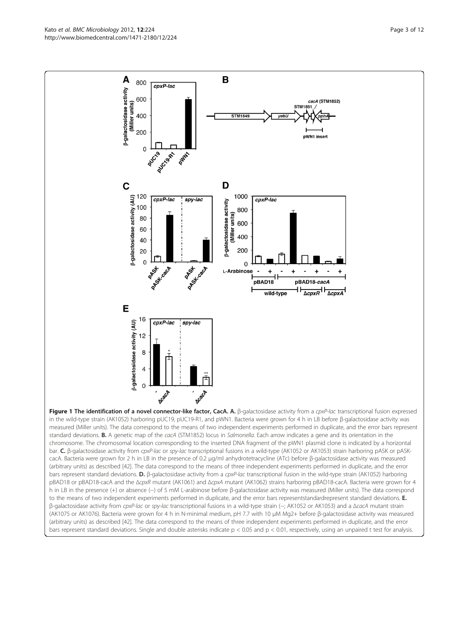<span id="page-2-0"></span>

bar. C. β-galactosidase activity from cpxP-lac or spy-lac transcriptional fusions in a wild-type (AK1052 or AK1053) strain harboring pASK or pASKcacA. Bacteria were grown for 2 h in LB in the presence of 0.2 μg/ml anhydrotetracycline (ATc) before β-galactosidase activity was measured (arbitrary units) as described [42]. The data correspond to the means of three independent experiments performed in duplicate, and the error bars represent standard deviations. **D.** β-galactosidase activity from a cpxP-lac transcriptional fusion in the wild-type strain (AK1052) harboring pBAD18 or pBAD18-cacA and the ΔcpxR mutant (AK1061) and ΔcpxA mutant (AK1062) strains harboring pBAD18-cacA. Bacteria were grown for 4 h in LB in the presence (+) or absence (−) of 5 mM L-arabinose before β-galactosidase activity was measured (Miller units). The data correspond to the means of two independent experiments performed in duplicate, and the error bars representstandardrepresent standard deviations. E. β-galactosidase activity from cpxP-lac or spy-lac transcriptional fusions in a wild-type strain (−; AK1052 or AK1053) and a ΔcacA mutant strain (AK1075 or AK1076). Bacteria were grown for 4 h in N-minimal medium, pH 7.7 with 10 μM Mg2+ before β-galactosidase activity was measured (arbitrary units) as described [42]. The data correspond to the means of three independent experiments performed in duplicate, and the error bars represent standard deviations. Single and double asterisks indicate p < 0.05 and p < 0.01, respectively, using an unpaired t test for analysis.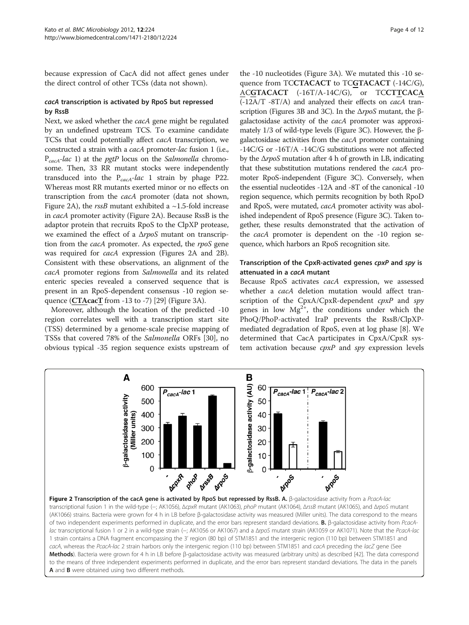<span id="page-3-0"></span>because expression of CacA did not affect genes under the direct control of other TCSs (data not shown).

# cacA transcription is activated by RpoS but repressed by RssB

Next, we asked whether the cacA gene might be regulated by an undefined upstream TCS. To examine candidate TCSs that could potentially affect cacA transcription, we constructed a strain with a cacA promoter-lac fusion 1 (i.e.,  $P_{cacA}$ -lac 1) at the *pgtP* locus on the *Salmonella* chromosome. Then, 33 RR mutant stocks were independently transduced into the  $P_{cacA}$ -lac 1 strain by phage P22. Whereas most RR mutants exerted minor or no effects on transcription from the cacA promoter (data not shown, Figure 2A), the  $rssB$  mutant exhibited a  $\sim$ 1.5-fold increase in cacA promoter activity (Figure 2A). Because RssB is the adaptor protein that recruits RpoS to the ClpXP protease, we examined the effect of a ΔrpoS mutant on transcription from the cacA promoter. As expected, the rpoS gene was required for cacA expression (Figures 2A and 2B). Consistent with these observations, an alignment of the cacA promoter regions from Salmonella and its related enteric species revealed a conserved sequence that is present in an RpoS-dependent consensus -10 region se-quence (CTAcacT from -13 to -7) [\[29](#page-10-0)] (Figure [3A](#page-4-0)).

Moreover, although the location of the predicted -10 region correlates well with a transcription start site (TSS) determined by a genome-scale precise mapping of TSSs that covered 78% of the Salmonella ORFs [\[30](#page-10-0)], no obvious typical -35 region sequence exists upstream of

the -10 nucleotides (Figure [3A](#page-4-0)). We mutated this -10 sequence from TC**CTACACT** to TC**GTACACT** (-14C/G), ACGTACACT (-16T/A-14C/G), or TCCTTCACA (-12A/T -8T/A) and analyzed their effects on cacA tran-scription (Figures [3B](#page-4-0) and [3C](#page-4-0)). In the  $ΔrpoS$  mutant, the βgalactosidase activity of the cacA promoter was approximately 1/3 of wild-type levels (Figure [3C\)](#page-4-0). However, the βgalactosidase activities from the cacA promoter containing -14C/G or -16T/A -14C/G substitutions were not affected by the  $\Delta rpoS$  mutation after 4 h of growth in LB, indicating that these substitution mutations rendered the cacA promoter RpoS-independent (Figure [3C](#page-4-0)). Conversely, when the essential nucleotides -12A and -8T of the canonical -10 region sequence, which permits recognition by both RpoD and RpoS, were mutated, cacA promoter activity was abolished independent of RpoS presence (Figure [3C\)](#page-4-0). Taken together, these results demonstrated that the activation of the cacA promoter is dependent on the -10 region sequence, which harbors an RpoS recognition site.

# Transcription of the CpxR-activated genes cpxP and spy is attenuated in a cacA mutant

Because RpoS activates cacA expression, we assessed whether a cacA deletion mutation would affect transcription of the CpxA/CpxR-dependent cpxP and spy genes in low  $Mg^{2+}$ , the conditions under which the PhoQ/PhoP-activated IraP prevents the RssB/ClpXPmediated degradation of RpoS, even at log phase [\[8\]](#page-10-0). We determined that CacA participates in CpxA/CpxR system activation because  $cpxP$  and  $spy$  expression levels



transcriptional fusion 1 in the wild-type (-; AK1056), ΔcpxR mutant (AK1063), phoP mutant (AK1064), ΔrssB mutant (AK1065), and ΔrpoS mutant (AK1066) strains. Bacteria were grown for 4 h in LB before β-galactosidase activity was measured (Miller units). The data correspond to the means of two independent experiments performed in duplicate, and the error bars represent standard deviations. B. β-galactosidase activity from PcacAlac transcriptional fusion 1 or 2 in a wild-type strain (-; AK1056 or AK1067) and a ΔrpoS mutant strain (AK1059 or AK1071). Note that the PcacA-lac 1 strain contains a DNA fragment encompassing the 3' region (80 bp) of STM1851 and the intergenic region (110 bp) between STM1851 and cacA, whereas the PcacA-lac 2 strain harbors only the intergenic region (110 bp) between STM1851 and cacA preceding the lacZ gene (See [Methods](#page-6-0)). Bacteria were grown for 4 h in LB before β-galactosidase activity was measured (arbitrary units) as described [42]. The data correspond to the means of three independent experiments performed in duplicate, and the error bars represent standard deviations. The data in the panels A and B were obtained using two different methods.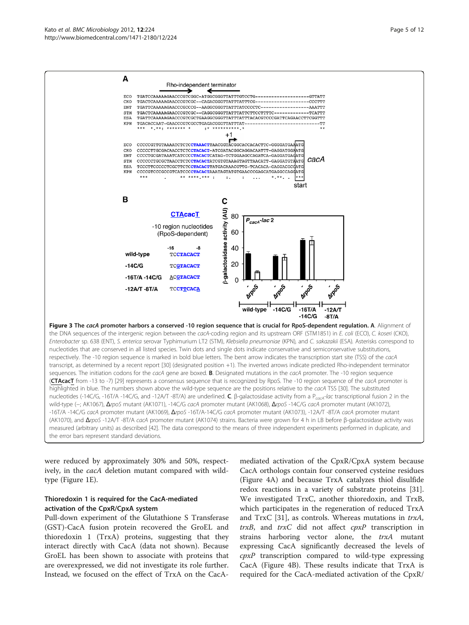<span id="page-4-0"></span>

were reduced by approximately 30% and 50%, respectively, in the cacA deletion mutant compared with wildtype (Figure [1E](#page-2-0)).

# Thioredoxin 1 is required for the CacA-mediated activation of the CpxR/CpxA system

Pull-down experiment of the Glutathione S Transferase (GST)-CacA fusion protein recovered the GroEL and thioredoxin 1 (TrxA) proteins, suggesting that they interact directly with CacA (data not shown). Because GroEL has been shown to associate with proteins that are overexpressed, we did not investigate its role further. Instead, we focused on the effect of TrxA on the CacA-

mediated activation of the CpxR/CpxA system because CacA orthologs contain four conserved cysteine residues (Figure [4A](#page-5-0)) and because TrxA catalyzes thiol disulfide redox reactions in a variety of substrate proteins [\[31](#page-10-0)]. We investigated TrxC, another thioredoxin, and TrxB, which participates in the regeneration of reduced TrxA and TrxC [\[31\]](#page-10-0), as controls. Whereas mutations in trxA, trxB, and trxC did not affect cpxP transcription in strains harboring vector alone, the trxA mutant expressing CacA significantly decreased the levels of  $\mathit{cpxP}$  transcription compared to wild-type expressing CacA (Figure [4B](#page-5-0)). These results indicate that TrxA is required for the CacA-mediated activation of the CpxR/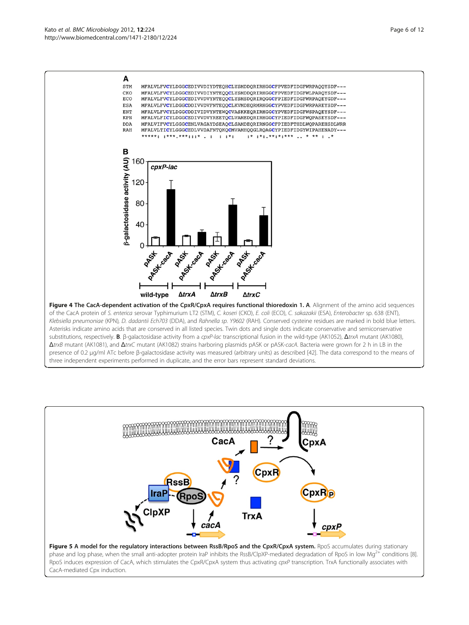<span id="page-5-0"></span>

ΔtrxB mutant (AK1081), and ΔtrxC mutant (AK1082) strains harboring plasmids pASK or pASK-cacA. Bacteria were grown for 2 h in LB in the presence of 0.2 μg/ml ATc before β-galactosidase activity was measured (arbitrary units) as described [\[42\]](#page-11-0). The data correspond to the means of three independent experiments performed in duplicate, and the error bars represent standard deviations.



CacA-mediated Cpx induction.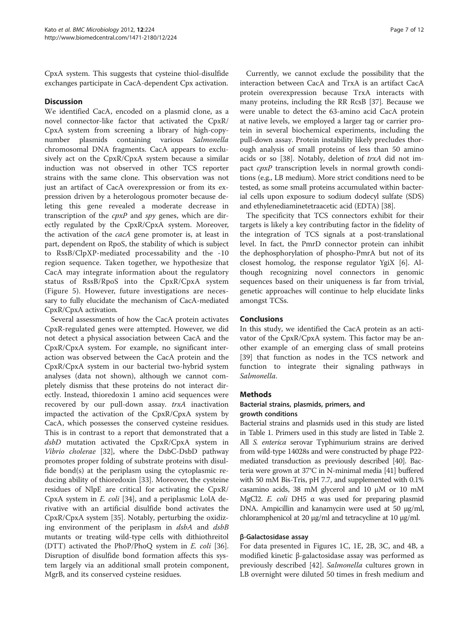<span id="page-6-0"></span>CpxA system. This suggests that cysteine thiol-disulfide exchanges participate in CacA-dependent Cpx activation.

# **Discussion**

We identified CacA, encoded on a plasmid clone, as a novel connector-like factor that activated the CpxR/ CpxA system from screening a library of high-copynumber plasmids containing various Salmonella chromosomal DNA fragments. CacA appears to exclusively act on the CpxR/CpxA system because a similar induction was not observed in other TCS reporter strains with the same clone. This observation was not just an artifact of CacA overexpression or from its expression driven by a heterologous promoter because deleting this gene revealed a moderate decrease in transcription of the  $cpxP$  and  $spy$  genes, which are directly regulated by the CpxR/CpxA system. Moreover, the activation of the cacA gene promoter is, at least in part, dependent on RpoS, the stability of which is subject to RssB/ClpXP-mediated processability and the -10 region sequence. Taken together, we hypothesize that CacA may integrate information about the regulatory status of RssB/RpoS into the CpxR/CpxA system (Figure [5\)](#page-5-0). However, future investigations are necessary to fully elucidate the mechanism of CacA-mediated CpxR/CpxA activation.

Several assessments of how the CacA protein activates CpxR-regulated genes were attempted. However, we did not detect a physical association between CacA and the CpxR/CpxA system. For example, no significant interaction was observed between the CacA protein and the CpxR/CpxA system in our bacterial two-hybrid system analyses (data not shown), although we cannot completely dismiss that these proteins do not interact directly. Instead, thioredoxin 1 amino acid sequences were recovered by our pull-down assay. trxA inactivation impacted the activation of the CpxR/CpxA system by CacA, which possesses the conserved cysteine residues. This is in contrast to a report that demonstrated that a dsbD mutation activated the CpxR/CpxA system in Vibrio cholerae [[32](#page-11-0)], where the DsbC-DsbD pathway promotes proper folding of substrate proteins with disulfide bond(s) at the periplasm using the cytoplasmic reducing ability of thioredoxin [\[33](#page-11-0)]. Moreover, the cysteine residues of NlpE are critical for activating the CpxR/ CpxA system in E. coli [\[34](#page-11-0)], and a periplasmic LolA derivative with an artificial disulfide bond activates the CpxR/CpxA system [[35\]](#page-11-0). Notably, perturbing the oxidizing environment of the periplasm in  $dsbA$  and  $dsbB$ mutants or treating wild-type cells with dithiothreitol (DTT) activated the PhoP/PhoQ system in E. coli [\[36](#page-11-0)]. Disruption of disulfide bond formation affects this system largely via an additional small protein component, MgrB, and its conserved cysteine residues.

Currently, we cannot exclude the possibility that the interaction between CacA and TrxA is an artifact CacA protein overexpression because TrxA interacts with many proteins, including the RR RcsB [[37\]](#page-11-0). Because we were unable to detect the 63-amino acid CacA protein at native levels, we employed a larger tag or carrier protein in several biochemical experiments, including the pull-down assay. Protein instability likely precludes thorough analysis of small proteins of less than 50 amino acids or so [[38\]](#page-11-0). Notably, deletion of trxA did not impact *cpxP* transcription levels in normal growth conditions (e.g., LB medium). More strict conditions need to be tested, as some small proteins accumulated within bacterial cells upon exposure to sodium dodecyl sulfate (SDS) and ethylenediaminetetraacetic acid (EDTA) [\[38\]](#page-11-0).

The specificity that TCS connectors exhibit for their targets is likely a key contributing factor in the fidelity of the integration of TCS signals at a post-translational level. In fact, the PmrD connector protein can inhibit the dephosphorylation of phospho-PmrA but not of its closest homolog, the response regulator YgiX [[6\]](#page-10-0). Although recognizing novel connectors in genomic sequences based on their uniqueness is far from trivial, genetic approaches will continue to help elucidate links amongst TCSs.

# Conclusions

In this study, we identified the CacA protein as an activator of the CpxR/CpxA system. This factor may be another example of an emerging class of small proteins [[39\]](#page-11-0) that function as nodes in the TCS network and function to integrate their signaling pathways in Salmonella.

# Methods

# Bacterial strains, plasmids, primers, and growth conditions

Bacterial strains and plasmids used in this study are listed in Table [1.](#page-7-0) Primers used in this study are listed in Table [2](#page-8-0). All *S. enterica* serovar Typhimurium strains are derived from wild-type 14028s and were constructed by phage P22 mediated transduction as previously described [[40](#page-11-0)]. Bacteria were grown at 37°C in N-minimal media [[41](#page-11-0)] buffered with 50 mM Bis-Tris, pH 7.7, and supplemented with 0.1% casamino acids, 38 mM glycerol and 10 μM or 10 mM MgCl2. E. coli DH5  $\alpha$  was used for preparing plasmid DNA. Ampicillin and kanamycin were used at 50 μg/ml, chloramphenicol at 20 μg/ml and tetracycline at 10 μg/ml.

# β-Galactosidase assay

For data presented in Figures [1C, 1E](#page-2-0), [2B,](#page-3-0) [3C](#page-4-0), and [4B](#page-5-0), a modified kinetic β-galactosidase assay was performed as previously described [\[42\]](#page-11-0). Salmonella cultures grown in LB overnight were diluted 50 times in fresh medium and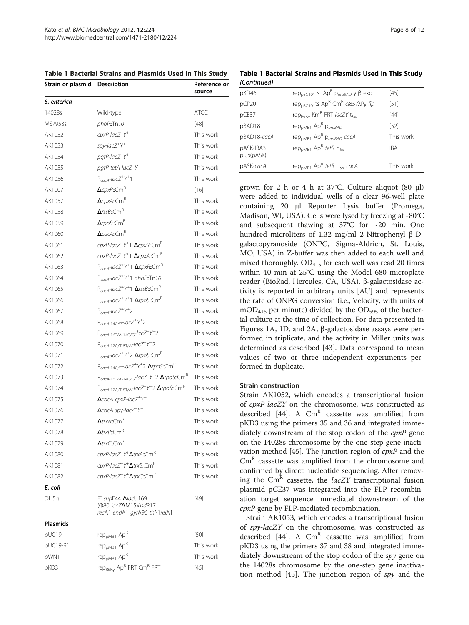| Strain or plasmid Description |                                                                                            | Reference or<br>source |
|-------------------------------|--------------------------------------------------------------------------------------------|------------------------|
| S. enterica                   |                                                                                            |                        |
| 14028s                        | Wild-type                                                                                  | <b>ATCC</b>            |
| MS7953s                       | phoP::Tn10                                                                                 | $[48]$                 |
| AK1052                        | cpxP-lacZ <sup>+</sup> Y <sup>+</sup>                                                      | This work              |
| AK1053                        | $spy$ -lac $Z^+Y^+$                                                                        | This work              |
| AK1054                        | pgtP-lacZ <sup>+</sup> Y <sup>+</sup>                                                      | This work              |
| AK1055                        | pgtP-tetA-lacZ <sup>+</sup> Y <sup>+</sup>                                                 | This work              |
| AK1056                        | $P_{cac}$ -lac $Z^+Y^+1$                                                                   | This work              |
| AK1007                        | $\Delta$ cpxR::CmR                                                                         | $[16]$                 |
| AK1057                        | $\Delta$ cpxA::Cm <sup>R</sup>                                                             | This work              |
| AK1058                        | $\Delta$ rss $B$ :: $CmR$                                                                  | This work              |
| AK1059                        | $\Delta$ rpoS:: $CmR$                                                                      | This work              |
| AK1060                        | $\Delta$ cacA:: $\text{Cm}^{\text{R}}$                                                     | This work              |
| AK1061                        | cpxP-lacZ <sup>+</sup> Y <sup>+</sup> 1 $\Delta$ cpxR::Cm <sup>R</sup>                     | This work              |
| AK1062                        | cpxP-lacZ <sup>+</sup> Y <sup>+</sup> 1 $\Delta$ cpxA::Cm <sup>R</sup>                     | This work              |
| AK1063                        | $P_{\text{cacA}}$ -lacZ <sup>+</sup> Y <sup>+</sup> 1 $\Delta$ cpxR::Cm <sup>R</sup>       | This work              |
| AK1064                        | P <sub>cacA</sub> -lacZ <sup>+</sup> Y <sup>+</sup> 1 phoP::Tn10                           | This work              |
| AK1065                        | $P_{\text{cacA}}$ -lacZ <sup>+</sup> Y <sup>+</sup> 1 $\Delta$ rssB::Cm <sup>R</sup>       | This work              |
| AK1066                        | $P_{\text{vacA}}$ -lacZ <sup>+</sup> Y <sup>+</sup> 1 $\Delta$ rpoS::Cm <sup>R</sup>       | This work              |
| AK1067                        | $P_{cac}$ -lac $Z^+Y^+2$                                                                   | This work              |
| AK1068                        | $P_{cacA-14C/G}$ -lac $Z^+Y^+2$                                                            | This work              |
| AK1069                        | $P_{cacA-16T/A-14C/G}$ -lacZ <sup>+</sup> Y <sup>+</sup> 2                                 | This work              |
| AK1070                        | P <sub>cacA-12A/T-8T/A</sub> -lacZ <sup>+</sup> Y <sup>+</sup> 2                           | This work              |
| AK1071                        | P <sub>cacA</sub> -lacZ <sup>+</sup> Y <sup>+</sup> 2 <b>A</b> rpoS::Cm <sup>R</sup>       | This work              |
| AK1072                        | P <sub>cacA-14C/G</sub> -lacZ <sup>+</sup> Y <sup>+</sup> 2 <b>ArpoS</b> ::Cm <sup>R</sup> | This work              |
| AK1073                        | $P_{cacA-16T/A-14C/G}$ -lacZ <sup>+</sup> Y <sup>+</sup> 2 $\Delta$ rpoS::Cm <sup>R</sup>  | This work              |
| AK1074                        | $P_{cacA-12A/T-8T/A}$ -lacZ <sup>+</sup> Y <sup>+</sup> 2 $\Delta$ rpoS::Cm <sup>R</sup>   | This work              |
| AK1075                        | $\Delta$ cacA cpxP-lacZ <sup>+</sup> Y <sup>+</sup>                                        | This work              |
| AK1076                        | AcacA spy-lacZ <sup>+</sup> Y <sup>+</sup>                                                 | This work              |
| AK1077                        | $\Delta$ trxA:: $\textsf{Cm}^{\textsf{R}}$                                                 | This work              |
| AK1078                        | $\Delta$ trxB::Cm $^{\sf R}$                                                               | This work              |
| AK1079                        | $\Delta$ trxC::Cm <sup>R</sup>                                                             | This work              |
| AK1080                        | cpxP-lacZ <sup>+</sup> Y <sup>+</sup> <b>A</b> trxA::Cm <sup>R</sup>                       | This work              |
| AK1081                        | cpxP-lacZ <sup>+</sup> Y <sup>+</sup> <b>A</b> trxB::Cm <sup>R</sup>                       | This work              |
| AK1082                        | cpxP-lacZ <sup>+</sup> Y <sup>+</sup> <b>A</b> trxC::Cm <sup>R</sup>                       | This work              |
| E. coli                       |                                                                                            |                        |
| DH5a                          | F supE44 <b>AlacU169</b><br>(Φ80 lacZ <b>Δ</b> M15)hsdR17<br>recA1 endA1 gyrA96 thi-1relA1 | $[49]$                 |
| <b>Plasmids</b>               |                                                                                            |                        |
| pUC19                         | rep <sub>pMB1</sub> Ap <sup>R</sup>                                                        | $[50]$                 |
| pUC19-R1                      | rep <sub>pMB1</sub> Ap <sup>R</sup>                                                        | This work              |
| pWN1                          | rep <sub>pMB1</sub> Ap <sup>R</sup>                                                        | This work              |

pKD3 rep<sub>R6Ky</sub> Ap<sup>R</sup> FRT Cm<sup>R</sup> FRT [[45](#page-11-0)]

<span id="page-7-0"></span>Table 1 Bacterial Strains and Plasmids Used in This Study

Table 1 Bacterial Strains and Plasmids Used in This Study (Continued)

| pKD46                   | rep <sub>pSC101</sub> ts Ap <sup>R</sup> P <sub>araBAD</sub> $\gamma$ $\beta$ exo | [45]       |
|-------------------------|-----------------------------------------------------------------------------------|------------|
| pCP20                   | rep <sub>pSC101</sub> ts Ap <sup>R</sup> Cm <sup>R</sup> c/857\P <sub>R</sub> flp | [51]       |
| pCE37                   | rep <sub>R6Ky</sub> Km <sup>R</sup> FRT lacZY t <sub>his</sub>                    | [44]       |
| pBAD18                  | rep <sub>pMB1</sub> Ap <sup>R</sup> ParaBAD                                       | [52]       |
| pBAD18-cacA             | rep <sub>pMB1</sub> Ap <sup>R</sup> p <sub>araBAD</sub> cacA                      | This work  |
| pASK-IBA3<br>plus(pASK) | rep <sub>pMB1</sub> Ap <sup>R</sup> tetR p <sub>tet</sub>                         | <b>IBA</b> |
| pASK-cacA               | rep <sub>pMB1</sub> Ap <sup>R</sup> tetR p <sub>tet</sub> cacA                    | This work  |

grown for 2 h or 4 h at 37°C. Culture aliquot (80 μl) were added to individual wells of a clear 96-well plate containing 20 μl Reporter Lysis buffer (Promega, Madison, WI, USA). Cells were lysed by freezing at -80°C and subsequent thawing at  $37^{\circ}$ C for  $\sim$  20 min. One hundred microliters of 1.32 mg/ml 2-Nitrophenyl β-Dgalactopyranoside (ONPG, Sigma-Aldrich, St. Louis, MO, USA) in Z-buffer was then added to each well and mixed thoroughly.  $OD<sub>415</sub>$  for each well was read 20 times within 40 min at 25°C using the Model 680 microplate reader (BioRad, Hercules, CA, USA). β-galactosidase activity is reported in arbitrary units [AU] and represents the rate of ONPG conversion (i.e., Velocity, with units of  $mOD_{415}$  per minute) divided by the  $OD_{595}$  of the bacterial culture at the time of collection. For data presented in Figures [1A](#page-2-0), [1D,](#page-2-0) and [2A,](#page-3-0) β-galactosidase assays were performed in triplicate, and the activity in Miller units was determined as described [[43\]](#page-11-0). Data correspond to mean values of two or three independent experiments performed in duplicate.

#### Strain construction

Strain AK1052, which encodes a transcriptional fusion of cpxP-lacZY on the chromosome, was constructed as described [\[44](#page-11-0)]. A  $\text{Cm}^R$  cassette was amplified from pKD3 using the primers 35 and 36 and integrated immediately downstream of the stop codon of the *cpxP* gene on the 14028s chromosome by the one-step gene inacti-vation method [[45](#page-11-0)]. The junction region of  $cpxP$  and the  $\text{Cm}^R$  cassette was amplified from the chromosome and confirmed by direct nucleotide sequencing. After removing the  $\text{Cm}^R$  cassette, the *lacZY* transcriptional fusion plasmid pCE37 was integrated into the FLP recombination target sequence immediatel downstream of the cpxP gene by FLP-mediated recombination.

Strain AK1053, which encodes a transcriptional fusion of spy-lacZY on the chromosome, was constructed as described [\[44](#page-11-0)]. A  $\text{Cm}^R$  cassette was amplified from pKD3 using the primers 37 and 38 and integrated immediately downstream of the stop codon of the *spy* gene on the 14028s chromosome by the one-step gene inactivation method  $[45]$ . The junction region of spy and the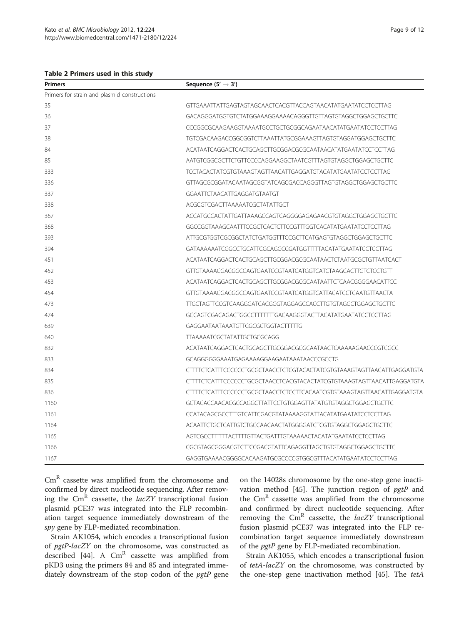<span id="page-8-0"></span>Table 2 Primers used in this study

| <b>Primers</b>                               | Sequence $(5' \rightarrow 3')$                                          |  |
|----------------------------------------------|-------------------------------------------------------------------------|--|
| Primers for strain and plasmid constructions |                                                                         |  |
| 35                                           | GTTGAAATTATTGAGTAGTAGCAACTCACGTTACCAGTAACATATGAATATCCTCCTTAG            |  |
| 36                                           | GACAGGGATGGTGTCTATGGAAAAGGAAAACAGGGTTGTTAGTGTAGGCTGGAGCTGCTTC           |  |
| 37                                           | CCCGGCGCAAGAAGGTAAAATGCCTGCTGCGGCAGAATAACATATGAATATCCTCCTTAG            |  |
| 38                                           | TGTCGACAAGACCGGCGGTCTTAAATTATGCGGAAAGTTAGTGTAGGATGGAGCTGCTTC            |  |
| 84                                           | ACATAATCAGGACTCACTGCAGCTTGCGGACGCGCAATAACATATGAATATCCTCCTTAG            |  |
| 85                                           | AATGTCGGCGCTTCTGTTCCCCAGGAAGGCTAATCGTTTAGTGTAGGCTGGAGCTGCTTC            |  |
| 333                                          | TCCTACACTATCGTGTAAAGTAGTTAACATTGAGGATGTACATATGAATATCCTCCTTAG            |  |
| 336                                          | GTTAGCGCGGATACAATAGCGGTATCAGCGACCAGGGTTAGTGTAGGCTGGAGCTGCTTC            |  |
| 337                                          | GGAATTCTAACATTGAGGATGTAATGT                                             |  |
| 338                                          | ACGCGTCGACTTAAAAATCGCTATATTGCT                                          |  |
| 367                                          | ACCATGCCACTATTGATTAAAGCCAGTCAGGGGAGAGAACGTGTAGGCTGGAGCTGCTTC            |  |
| 368                                          | GGCCGGTAAAGCAATTTCCGCTCACTCTTCCGTTTGGTCACATATGAATATCCTCCTTAG            |  |
| 393                                          | ATTGCGTGGTCGCGGCTATCTGATGGTTTCCGCTTCATGAGTGTAGGCTGGAGCTGCTTC            |  |
| 394                                          | GATAAAAAATCGGCCTGCATTCGCAGGCCGATGGTTTTTACATATGAATATCCTCCTTAG            |  |
| 451                                          | ACATAATCAGGACTCACTGCAGCTTGCGGACGCGCAATAACTCTAATGCGCTGTTAATCACT          |  |
| 452                                          | GTTGTAAAACGACGGCCAGTGAATCCGTAATCATGGTCATCTAAGCACTTGTCTCCTGTT            |  |
| 453                                          | ACATAATCAGGACTCACTGCAGCTTGCGGACGCGCAATAATTCTCAACGGGGAACATTCC            |  |
| 454                                          | GTTGTAAAACGACGGCCAGTGAATCCGTAATCATGGTCATTACATCCTCAATGTTAACTA            |  |
| 473                                          | TTGCTAGTTCCGTCAAGGGATCACGGGTAGGAGCCACCTTGTGTAGGCTGGAGCTGCTTC            |  |
| 474                                          | GCCAGTCGACAGACTGGCCTTTTTTGACAAGGGTACTTACATATGAATATCCTCCTTAG             |  |
| 639                                          | GAGGAATAATAAATGTTCGCGCTGGTACTTTTTG                                      |  |
| 640                                          | <b>TTAAAAATCGCTATATTGCTGCGCAGG</b>                                      |  |
| 832                                          | ACATAATCAGGACTCACTGCAGCTTGCGGACGCGCAATAACTCAAAAAGAACCCGTCGCC            |  |
| 833                                          | GCAGGGGGGAAATGAGAAAAGGAAGAATAAATAACCCGCCTG                              |  |
| 834                                          | CTTTTCTCATTTCCCCCCCTGCGCTAACCTCTCGTACACTATCGTGTAAAGTAGTTAACATTGAGGATGTA |  |
| 835                                          | CTTTTCTCATTTCCCCCCTGCGCTAACCTCACGTACACTATCGTGTAAAGTAGTTAACATTGAGGATGTA  |  |
| 836                                          | CTTTTCTCATTTCCCCCCCTGCGCTAACCTCTCCTTCACAATCGTGTAAAGTAGTTAACATTGAGGATGTA |  |
| 1160                                         | GCTACACCAACACGCCAGGCTTATTCCTGTGGAGTTATATGTGTAGGCTGGAGCTGCTTC            |  |
| 1161                                         | CCATACAGCGCCTTTGTCATTCGACGTATAAAAGGTATTACATATGAATATCCTCCTTAG            |  |
| 1164                                         | ACAATTCTGCTCATTGTCTGCCAACAACTATGGGGATCTCGTGTAGGCTGGAGCTGCTTC            |  |
| 1165                                         | AGTCGCCTTTTTTACTTTTGTTACTGATTTGTAAAAACTACATATGAATATCCTCCTTAG            |  |
| 1166                                         | CGCGTAGCGGGACGTCTTCCGACGTATTCAGAGGTTAGCTGTGTAGGCTGGAGCTGCTTC            |  |
| 1167                                         | GAGGTGAAAACGGGGCACAAGATGCGCCCCGTGGCGTTTACATATGAATATCCTCCTTAG            |  |
|                                              |                                                                         |  |

 $\text{Cm}^R$  cassette was amplified from the chromosome and confirmed by direct nucleotide sequencing. After removing the  $\text{Cm}^R$  cassette, the *lacZY* transcriptional fusion plasmid pCE37 was integrated into the FLP recombination target sequence immediately downstream of the spy gene by FLP-mediated recombination.

Strain AK1054, which encodes a transcriptional fusion of pgtP-lacZY on the chromosome, was constructed as described [\[44](#page-11-0)]. A  $\text{Cm}^R$  cassette was amplified from pKD3 using the primers 84 and 85 and integrated immediately downstream of the stop codon of the *pgtP* gene on the 14028s chromosome by the one-step gene inacti-vation method [[45\]](#page-11-0). The junction region of  $pgtP$  and the  $\text{Cm}^R$  cassette was amplified from the chromosome and confirmed by direct nucleotide sequencing. After removing the  $\text{Cm}^R$  cassette, the *lacZY* transcriptional fusion plasmid pCE37 was integrated into the FLP recombination target sequence immediately downstream of the pgtP gene by FLP-mediated recombination.

Strain AK1055, which encodes a transcriptional fusion of tetA-lacZY on the chromosome, was constructed by the one-step gene inactivation method [[45\]](#page-11-0). The tetA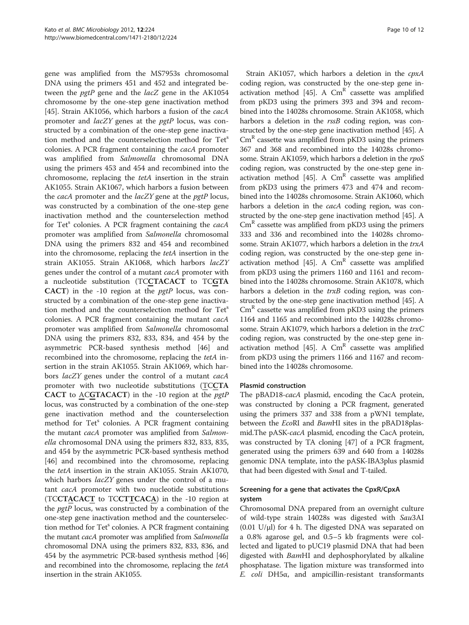gene was amplified from the MS7953s chromosomal DNA using the primers 451 and 452 and integrated between the *pgtP* gene and the lacZ gene in the AK1054 chromosome by the one-step gene inactivation method [[45\]](#page-11-0). Strain AK1056, which harbors a fusion of the *cacA* promoter and *lacZY* genes at the *pgtP* locus, was constructed by a combination of the one-step gene inactivation method and the counterselection method for Tet<sup>s</sup> colonies. A PCR fragment containing the cacA promoter was amplified from Salmonella chromosomal DNA using the primers 453 and 454 and recombined into the chromosome, replacing the tetA insertion in the strain AK1055. Strain AK1067, which harbors a fusion between the *cacA* promoter and the *lacZY* gene at the *pgtP* locus, was constructed by a combination of the one-step gene inactivation method and the counterselection method for  $Tet^s$  colonies. A PCR fragment containing the  $cacA$ promoter was amplified from Salmonella chromosomal DNA using the primers 832 and 454 and recombined into the chromosome, replacing the tetA insertion in the strain AK1055. Strain AK1068, which harbors lacZY genes under the control of a mutant cacA promoter with a nucleotide substitution (TCCTACACT to TCGTA **CACT**) in the  $-10$  region at the *pgtP* locus, was constructed by a combination of the one-step gene inactivation method and the counterselection method for Tet<sup>s</sup> colonies. A PCR fragment containing the mutant cacA promoter was amplified from Salmonella chromosomal DNA using the primers 832, 833, 834, and 454 by the asymmetric PCR-based synthesis method [[46\]](#page-11-0) and recombined into the chromosome, replacing the tetA insertion in the strain AK1055. Strain AK1069, which harbors lacZY genes under the control of a mutant cacA promoter with two nucleotide substitutions (TCCTA **CACT** to ACGTACACT) in the  $-10$  region at the *pgtP* locus, was constructed by a combination of the one-step gene inactivation method and the counterselection method for Tet<sup>s</sup> colonies. A PCR fragment containing the mutant *cacA* promoter was amplified from *Salmon*ella chromosomal DNA using the primers 832, 833, 835, and 454 by the asymmetric PCR-based synthesis method [[46\]](#page-11-0) and recombined into the chromosome, replacing the tetA insertion in the strain AK1055. Strain AK1070, which harbors *lacZY* genes under the control of a mutant cacA promoter with two nucleotide substitutions (TCCTACACT to TCCTTCACA) in the -10 region at the *pgtP* locus, was constructed by a combination of the one-step gene inactivation method and the counterselection method for Tet<sup>s</sup> colonies. A PCR fragment containing the mutant cacA promoter was amplified from Salmonella chromosomal DNA using the primers 832, 833, 836, and 454 by the asymmetric PCR-based synthesis method [[46](#page-11-0)] and recombined into the chromosome, replacing the tetA insertion in the strain AK1055.

Strain AK1057, which harbors a deletion in the cpxA coding region, was constructed by the one-step gene in-activation method [\[45\]](#page-11-0). A  $\text{Cm}^R$  cassette was amplified from pKD3 using the primers 393 and 394 and recombined into the 14028s chromosome. Strain AK1058, which harbors a deletion in the rssB coding region, was constructed by the one-step gene inactivation method [[45](#page-11-0)]. A  $\text{Cm}^R$  cassette was amplified from pKD3 using the primers 367 and 368 and recombined into the 14028s chromosome. Strain AK1059, which harbors a deletion in the rpoS coding region, was constructed by the one-step gene in-activation method [\[45\]](#page-11-0). A  $\text{Cm}^R$  cassette was amplified from pKD3 using the primers 473 and 474 and recombined into the 14028s chromosome. Strain AK1060, which harbors a deletion in the *cacA* coding region, was constructed by the one-step gene inactivation method [[45](#page-11-0)]. A  $\text{Cm}^R$  cassette was amplified from pKD3 using the primers 333 and 336 and recombined into the 14028s chromosome. Strain AK1077, which harbors a deletion in the trxA coding region, was constructed by the one-step gene in-activation method [\[45\]](#page-11-0). A  $\text{Cm}^R$  cassette was amplified from pKD3 using the primers 1160 and 1161 and recombined into the 14028s chromosome. Strain AK1078, which harbors a deletion in the  $trxB$  coding region, was constructed by the one-step gene inactivation method [[45](#page-11-0)]. A  $\text{Cm}^R$  cassette was amplified from pKD3 using the primers 1164 and 1165 and recombined into the 14028s chromosome. Strain AK1079, which harbors a deletion in the trxC coding region, was constructed by the one-step gene in-activation method [\[45\]](#page-11-0). A  $\text{Cm}^R$  cassette was amplified from pKD3 using the primers 1166 and 1167 and recombined into the 14028s chromosome.

#### Plasmid construction

The pBAD18-cacA plasmid, encoding the CacA protein, was constructed by cloning a PCR fragment, generated using the primers 337 and 338 from a pWN1 template, between the EcoRI and BamHI sites in the pBAD18plasmid.The pASK-cacA plasmid, encoding the CacA protein, was constructed by TA cloning [\[47\]](#page-11-0) of a PCR fragment, generated using the primers 639 and 640 from a 14028s genomic DNA template, into the pASK-IBA3plus plasmid that had been digested with *SmaI* and T-tailed.

# Screening for a gene that activates the CpxR/CpxA system

Chromosomal DNA prepared from an overnight culture of wild-type strain 14028s was digested with Sau3AI  $(0.01 \text{ U/}\mu\text{I})$  for 4 h. The digested DNA was separated on a 0.8% agarose gel, and 0.5–5 kb fragments were collected and ligated to pUC19 plasmid DNA that had been digested with BamHI and dephosphorylated by alkaline phosphatase. The ligation mixture was transformed into E. coli DH5α, and ampicillin-resistant transformants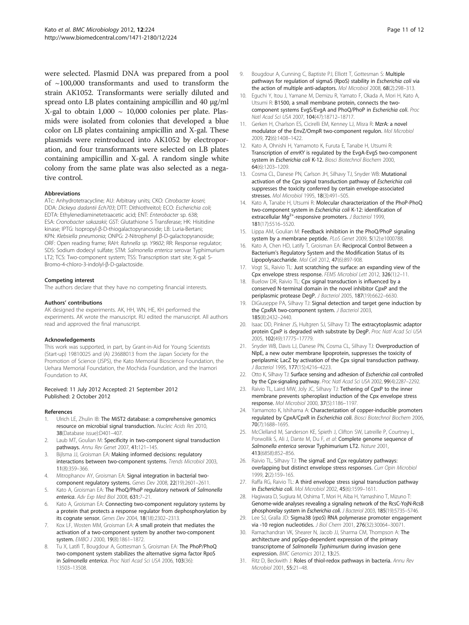<span id="page-10-0"></span>were selected. Plasmid DNA was prepared from a pool of  $\sim$ 100,000 transformants and used to transform the strain AK1052. Transformants were serially diluted and spread onto LB plates containing ampicillin and 40 μg/ml X-gal to obtain  $1,000 \sim 10,000$  colonies per plate. Plasmids were isolated from colonies that developed a blue color on LB plates containing ampicillin and X-gal. These plasmids were reintroduced into AK1052 by electroporation, and four transformants were selected on LB plates containing ampicillin and X-gal. A random single white colony from the same plate was also selected as a negative control.

#### Abbreviations

ATc: Anhydrotetracycline; AU: Arbitrary units; CKO: Citrobacter koseri; DDA: Dickeya dadantii Ech703; DTT: Dithiothreitol; ECO: Escherichia coli; EDTA: Ethylenediaminetetraacetic acid; ENT: Enterobacter sp. 638; ESA: Cronobacter sakazakii; GST: Glutathione S Transferase; HK: Hisitidine kinase; IPTG: Isopropyl-β-D-thiogalactopyranoside; LB: Luria-Bertani; KPN: Klebsiella pneumonia; ONPG: 2-Nitrophenyl β-D-galactopyranoside; ORF: Open reading frame; RAH: Rahnella sp. Y9602; RR: Response regulator; SDS: Sodium dodecyl sulfate; STM: Salmonella enterica serovar Typhimurium LT2; TCS: Two-component system; TSS: Transcription start site; X-gal: 5- Bromo-4-chloro-3-indolyl-β-D-galactoside.

#### Competing interest

The authors declare that they have no competing financial interests.

#### Authors' contributions

AK designed the experiments. AK, HH, WN, HE, KH performed the experiments. AK wrote the manuscript. RU edited the manuscript. All authors read and approved the final manuscript.

#### Acknowledgements

This work was supported, in part, by Grant-in-Aid for Young Scientists (Start-up) 19810025 and (A) 23688013 from the Japan Society for the Promotion of Science (JSPS), the Kato Memorial Bioscience Foundation, the Uehara Memorial Foundation, the Mochida Foundation, and the Inamori Foundation to AK.

#### Received: 11 July 2012 Accepted: 21 September 2012 Published: 2 October 2012

#### References

- 1. Ulrich LE, Zhulin IB: The MiST2 database: a comprehensive genomics resource on microbial signal transduction. Nucleic Acids Res 2010, 38(Database issue):D401–407.
- 2. Laub MT, Goulian M: Specificity in two-component signal transduction pathways. Annu Rev Genet 2007, 41:121–145.
- 3. Bijlsma JJ, Groisman EA: Making informed decisions: regulatory interactions between two-component systems. Trends Microbiol 2003, 11(8):359–366.
- 4. Mitrophanov AY, Groisman EA: Signal integration in bacterial twocomponent regulatory systems. Genes Dev 2008, 22(19):2601–2611.
- 5. Kato A, Groisman EA: The PhoQ/PhoP regulatory network of Salmonella enterica. Adv Exp Med Biol 2008, 631:7–21.
- 6. Kato A, Groisman EA: Connecting two-component regulatory systems by a protein that protects a response regulator from dephosphorylation by its cognate sensor. Genes Dev 2004, 18(18):2302–2313.
- 7. Kox LF, Wosten MM, Groisman EA: A small protein that mediates the activation of a two-component system by another two-component system. EMBO J 2000, 19(8):1861-1872.
- Tu X, Latifi T, Bougdour A, Gottesman S, Groisman EA: The PhoP/PhoQ two-component system stabilizes the alternative sigma factor RpoS in Salmonella enterica. Proc Natl Acad Sci USA 2006, 103(36): 13503–13508.
- 9. Bougdour A, Cunning C, Baptiste PJ, Elliott T, Gottesman S: Multiple pathways for regulation of sigmaS (RpoS) stability in Escherichia coli via the action of multiple anti-adaptors. Mol Microbiol 2008, 68(2):298–313.
- 10. Eguchi Y, Itou J, Yamane M, Demizu R, Yamato F, Okada A, Mori H, Kato A, Utsumi R: B1500, a small membrane protein, connects the twocomponent systems EvgS/EvgA and PhoQ/PhoP in Escherichia coli. Proc Natl Acad Sci USA 2007, 104(47):18712–18717.
- 11. Gerken H, Charlson ES, Cicirelli EM, Kenney LJ, Misra R: MzrA: a novel modulator of the EnvZ/OmpR two-component regulon. Mol Microbiol 2009, 72(6):1408–1422.
- 12. Kato A, Ohnishi H, Yamamoto K, Furuta E, Tanabe H, Utsumi R: Transcription of emrKY is regulated by the EvgA-EvgS two-component system in Escherichia coli K-12. Biosci Biotechnol Biochem 2000, 64(6):1203–1209.
- 13. Cosma CL, Danese PN, Carlson JH, Silhavy TJ, Snyder WB: Mutational activation of the Cpx signal transduction pathway of Escherichia coli suppresses the toxicity conferred by certain envelope-associated stresses. Mol Microbiol 1995, 18(3):491–505.
- 14. Kato A, Tanabe H, Utsumi R: Molecular characterization of the PhoP-PhoQ two-component system in Escherichia coli K-12: identification of extracellular Mg<sup>2+</sup>-responsive promoters. J Bacteriol 1999, 181(17):5516–5520.
- 15. Lippa AM, Goulian M: Feedback inhibition in the PhoQ/PhoP signaling system by a membrane peptide. PLoS Genet 2009, 5(12):e1000788.
- 16. Kato A, Chen HD, Latify T, Groisman EA: Reciprocal Control Between a Bacterium's Regulatory System and the Modification Status of its Lipopolysaccharide. Mol Cell 2012, 47(6):897-908.
- 17. Vogt SL, Raivio TL: Just scratching the surface: an expanding view of the Cpx envelope stress response. FEMS Microbiol Lett 2012, 326(1):2–11.
- 18. Buelow DR, Raivio TL: Cpx signal transduction is influenced by a conserved N-terminal domain in the novel inhibitor CpxP and the periplasmic protease DegP. J Bacteriol 2005, 187(19):6622–6630.
- 19. DiGiuseppe PA, Silhavy TJ: Signal detection and target gene induction by the CpxRA two-component system. J Bacteriol 2003, 185(8):2432–2440.
- 20. Isaac DD, Pinkner JS, Hultgren SJ, Silhavy TJ: The extracytoplasmic adaptor protein CpxP is degraded with substrate by DegP. Proc Natl Acad Sci USA 2005, 102(49):17775–17779.
- 21. Snyder WB, Davis LJ, Danese PN, Cosma CL, Silhavy TJ: Overproduction of NlpE, a new outer membrane lipoprotein, suppresses the toxicity of periplasmic LacZ by activation of the Cpx signal transduction pathway. J Bacteriol 1995, 177(15):4216–4223.
- 22. Otto K, Silhavy TJ: Surface sensing and adhesion of Escherichia coli controlled by the Cpx-signaling pathway. Proc Natl Acad Sci USA 2002, 99(4):2287–2292.
- 23. Raivio TL, Laird MW, Joly JC, Silhavy TJ: Tethering of CpxP to the inner membrane prevents spheroplast induction of the Cpx envelope stress response. Mol Microbiol 2000, 37(5):1186–1197.
- 24. Yamamoto K, Ishihama A: Characterization of copper-inducible promoters regulated by CpxA/CpxR in Escherichia coli. Biosci Biotechnol Biochem 2006, 70(7):1688–1695.
- 25. McClelland M, Sanderson KE, Spieth J, Clifton SW, Latreille P, Courtney L, Porwollik S, Ali J, Dante M, Du F, et al: Complete genome sequence of Salmonella enterica serovar Typhimurium LT2. Nature 2001, 413(6858):852–856.
- 26. Raivio TL, Silhavy TJ: The sigmaE and Cpx regulatory pathways: overlapping but distinct envelope stress responses. Curr Opin Microbiol 1999, 2(2):159–165.
- 27. Raffa RG, Raivio TL: A third envelope stress signal transduction pathway in Escherichia coli. Mol Microbiol 2002, 45(6):1599–1611.
- 28. Hagiwara D, Sugiura M, Oshima T, Mori H, Aiba H, Yamashino T, Mizuno T: Genome-wide analyses revealing a signaling network of the RcsC-YojN-RcsB phosphorelay system in Escherichia coli. J Bacteriol 2003, 185(19):5735–5746.
- 29. Lee SJ, Gralla JD: Sigma38 (rpoS) RNA polymerase promoter engagement via -10 region nucleotides. J Biol Chem 2001, 276(32):30064–30071.
- 30. Ramachandran VK, Shearer N, Jacob JJ, Sharma CM, Thompson A: The architecture and ppGpp-dependent expression of the primary transcriptome of Salmonella Typhimurium during invasion gene expression. BMC Genomics 2012, 13:25.
- 31. Ritz D, Beckwith J: Roles of thiol-redox pathways in bacteria. Annu Rev Microbiol 2001, 55:21–48.